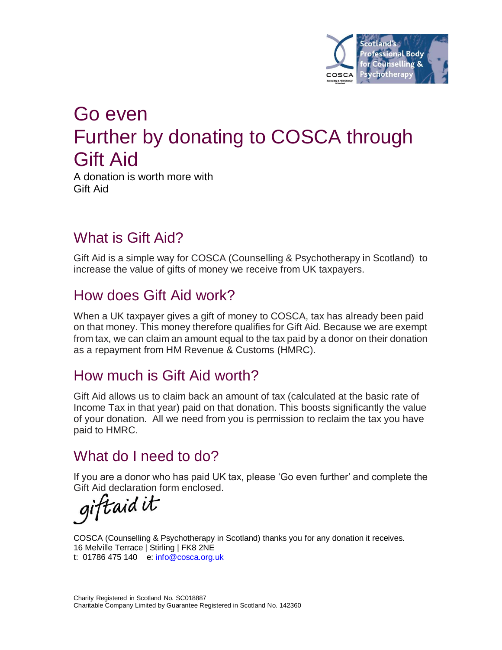

# Go even Further by donating to COSCA through Gift Aid

A donation is worth more with Gift Aid

### What is Gift Aid?

Gift Aid is a simple way for COSCA (Counselling & Psychotherapy in Scotland) to increase the value of gifts of money we receive from UK taxpayers.

#### How does Gift Aid work?

When a UK taxpayer gives a gift of money to COSCA, tax has already been paid on that money. This money therefore qualifies for Gift Aid. Because we are exempt from tax, we can claim an amount equal to the tax paid by a donor on their donation as a repayment from HM Revenue & Customs (HMRC).

#### How much is Gift Aid worth?

Gift Aid allows us to claim back an amount of tax (calculated at the basic rate of Income Tax in that year) paid on that donation. This boosts significantly the value of your donation. All we need from you is permission to reclaim the tax you have paid to HMRC.

#### What do I need to do?

If you are a donor who has paid UK tax, please 'Go even further' and complete the

Gift Aid declaration form enclosed.<br> $qiftaid$  it

COSCA (Counselling & Psychotherapy in Scotland) thanks you for any donation it receives. 16 Melville Terrace | Stirling | FK8 2NE t: 01786 475 140 e: info@cosca.org.uk